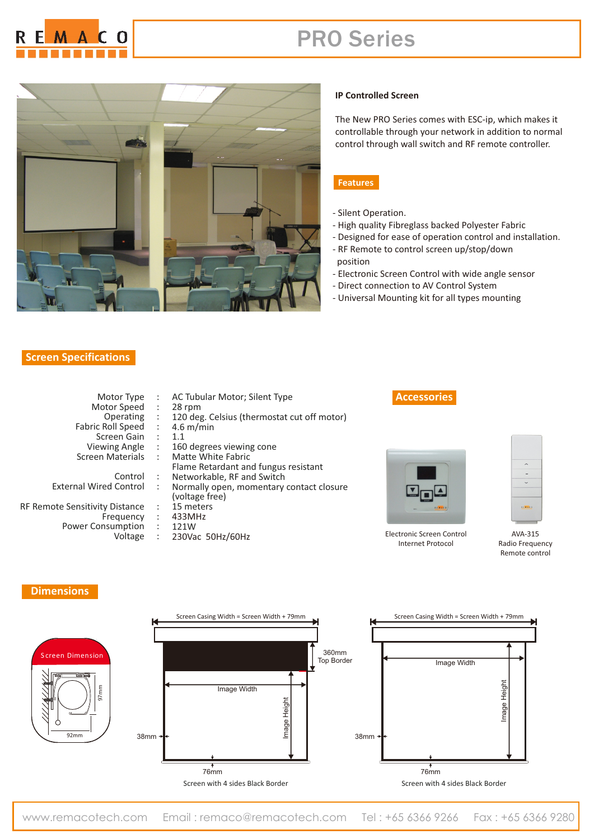

# PRO Series



#### **Screen Specifications**

### **IP Controlled Screen**

The New PRO Series comes with ESC-ip, which makes it controllable through your network in addition to normal control through wall switch and RF remote controller.

#### **Features**

- Silent Operation.
- High quality Fibreglass backed Polyester Fabric
- Designed for ease of operation control and installation.
- RF Remote to control screen up/stop/down position
- Electronic Screen Control with wide angle sensor
- Direct connection to AV Control System
- Universal Mounting kit for all types mounting

| Motor Type                     |                      | : AC Tubular Motor; Silent Type               | Acce                 |
|--------------------------------|----------------------|-----------------------------------------------|----------------------|
| Motor Speed                    | $\ddot{\phantom{a}}$ | 28 rpm                                        |                      |
| Operating                      |                      | : 120 deg. Celsius (thermostat cut off motor) |                      |
| Fabric Roll Speed              | $\ddot{\phantom{a}}$ | $4.6 \text{ m/min}$                           |                      |
| Screen Gain: 1.1               |                      |                                               |                      |
| Viewing Angle                  | $\mathcal{L}$        | 160 degrees viewing cone                      |                      |
| Screen Materials               | $\pm$                | Matte White Fabric                            |                      |
|                                |                      | Flame Retardant and fungus resistant          |                      |
| Control                        | $\ddot{\phantom{a}}$ | Networkable, RF and Switch                    |                      |
| <b>External Wired Control</b>  | $\ddot{\phantom{a}}$ | Normally open, momentary contact closure      | $\blacktriangledown$ |
|                                |                      | (voltage free)                                |                      |
| RF Remote Sensitivity Distance |                      | 15 meters                                     |                      |
| Freguency                      | $\ddot{\phantom{a}}$ | 433MHz                                        |                      |
| Power Consumption :            |                      | 121W                                          |                      |
| Voltage                        |                      | $: 230$ Vac 50Hz/60Hz                         | Electronic           |
|                                |                      |                                               |                      |

## **ssories**



Electronic Screen Control Internet Protocol



AVA-315 Radio Frequency Remote control

#### **Dimensions**